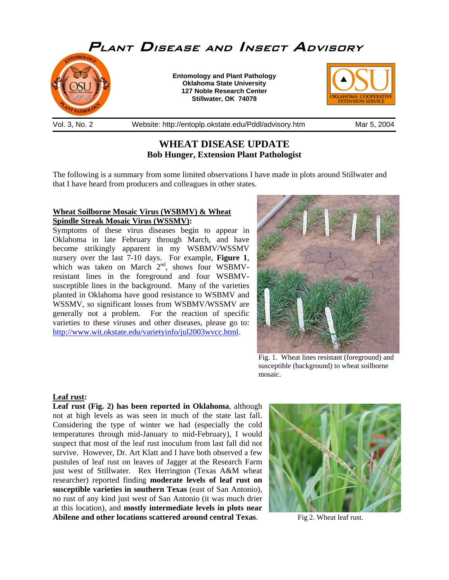

Vol. 3, No. 2 Website: http://entoplp.okstate.edu/Pddl/advisory.htm Mar 5, 2004

# **WHEAT DISEASE UPDATE Bob Hunger, Extension Plant Pathologist**

The following is a summary from some limited observations I have made in plots around Stillwater and that I have heard from producers and colleagues in other states.

## **Wheat Soilborne Mosaic Virus (WSBMV) & Wheat Spindle Streak Mosaic Virus (WSSMV):**

Symptoms of these virus diseases begin to appear in Oklahoma in late February through March, and have become strikingly apparent in my WSBMV/WSSMV nursery over the last 7-10 days. For example, **Figure 1**, which was taken on March  $2<sup>nd</sup>$ , shows four WSBMVresistant lines in the foreground and four WSBMVsusceptible lines in the background. Many of the varieties planted in Oklahoma have good resistance to WSBMV and WSSMV, so significant losses from WSBMV/WSSMV are generally not a problem. For the reaction of specific varieties to these viruses and other diseases, please go to: http://www.wit.okstate.edu/varietyinfo/jul2003wvcc.html.



Fig. 1. Wheat lines resistant (foreground) and susceptible (background) to wheat soilborne mosaic.

## **Leaf rust:**

**Leaf rust (Fig. 2) has been reported in Oklahoma**, although not at high levels as was seen in much of the state last fall. Considering the type of winter we had (especially the cold temperatures through mid-January to mid-February), I would suspect that most of the leaf rust inoculum from last fall did not survive. However, Dr. Art Klatt and I have both observed a few pustules of leaf rust on leaves of Jagger at the Research Farm just west of Stillwater. Rex Herrington (Texas A&M wheat researcher) reported finding **moderate levels of leaf rust on susceptible varieties in southern Texas** (east of San Antonio), no rust of any kind just west of San Antonio (it was much drier at this location), and **mostly intermediate levels in plots near Abilene and other locations scattered around central Texas**.



Fig 2. Wheat leaf rust.